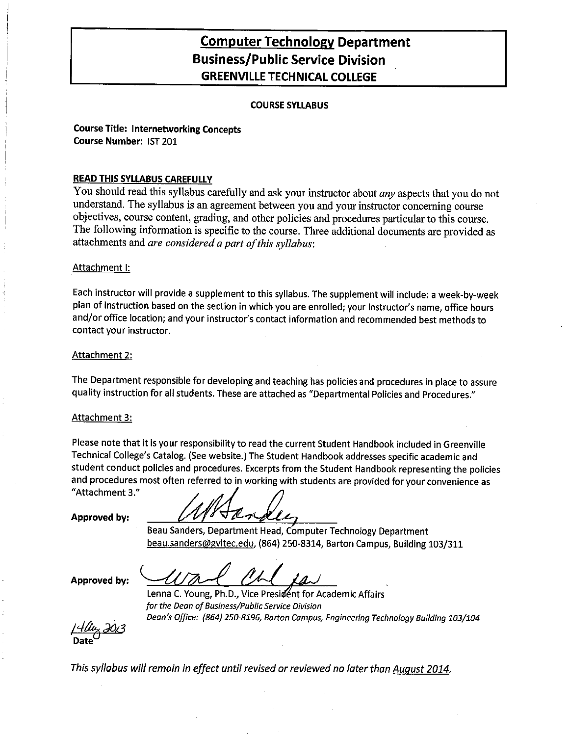## **Computer Technology Department Business/Public Service Division GREENVILLE TECHNICAL COLLEGE**

#### **COURSE SYLLABUS**

**Course Title: Internetworking Concepts** Course Number: IST 201

#### **READ THIS SYLLABUS CAREFULLY**

You should read this syllabus carefully and ask your instructor about any aspects that you do not understand. The syllabus is an agreement between you and your instructor concerning course objectives, course content, grading, and other policies and procedures particular to this course. The following information is specific to the course. Three additional documents are provided as attachments and are considered a part of this syllabus:

#### Attachment I:

Each instructor will provide a supplement to this syllabus. The supplement will include: a week-by-week plan of instruction based on the section in which you are enrolled; your instructor's name, office hours and/or office location; and your instructor's contact information and recommended best methods to contact your instructor.

#### Attachment 2:

The Department responsible for developing and teaching has policies and procedures in place to assure quality instruction for all students. These are attached as "Departmental Policies and Procedures."

#### **Attachment 3:**

Please note that it is your responsibility to read the current Student Handbook included in Greenville Technical College's Catalog. (See website.) The Student Handbook addresses specific academic and student conduct policies and procedures. Excerpts from the Student Handbook representing the policies and procedures most often referred to in working with students are provided for your convenience as "Attachment 3."

Approved by:

Beau Sanders, Department Head, Computer Technology Department beau.sanders@gvltec.edu, (864) 250-8314, Barton Campus, Building 103/311

Approved by:

Lenna C. Young, Ph.D., Vice President for Academic Affairs for the Dean of Business/Public Service Division Dean's Office: (864) 250-8196, Barton Campus, Engineering Technology Building 103/104

This syllabus will remain in effect until revised or reviewed no later than August 2014.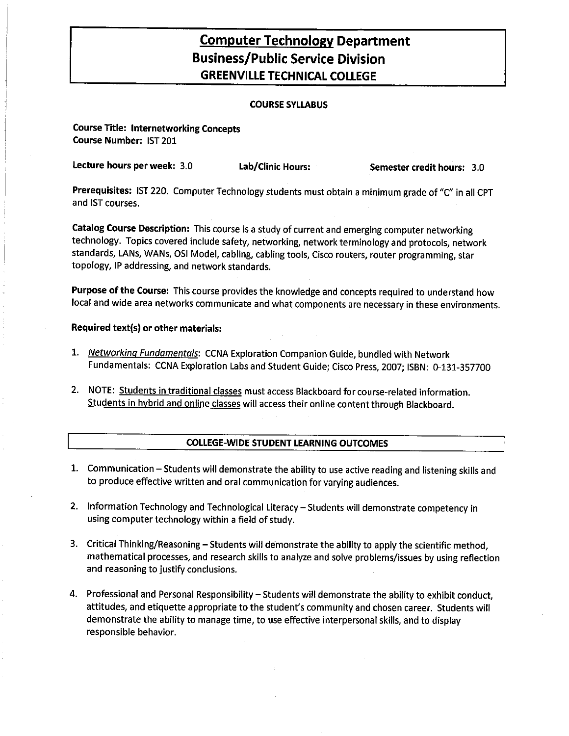## **Computer Technology Department Business/Public Service Division GREENVILLE TECHNICAL COLLEGE**

### **COURSE SYLLABUS**

**Course Title: Internetworking Concepts** Course Number: IST 201

Lecture hours per week: 3.0 Lab/Clinic Hours: Semester credit hours: 3.0

Prerequisites: IST 220. Computer Technology students must obtain a minimum grade of "C" in all CPT and IST courses.

Catalog Course Description: This course is a study of current and emerging computer networking technology. Topics covered include safety, networking, network terminology and protocols, network standards, LANs, WANs, OSI Model, cabling, cabling tools, Cisco routers, router programming, star topology, IP addressing, and network standards.

Purpose of the Course: This course provides the knowledge and concepts required to understand how local and wide area networks communicate and what components are necessary in these environments.

#### Required text(s) or other materials:

- 1. Networking Fundamentals: CCNA Exploration Companion Guide, bundled with Network Fundamentals: CCNA Exploration Labs and Student Guide; Cisco Press, 2007; ISBN: 0-131-357700
- 2. NOTE: Students in traditional classes must access Blackboard for course-related information. Students in hybrid and online classes will access their online content through Blackboard.

#### **COLLEGE-WIDE STUDENT LEARNING OUTCOMES**

- 1. Communication Students will demonstrate the ability to use active reading and listening skills and to produce effective written and oral communication for varying audiences.
- 2. Information Technology and Technological Literacy Students will demonstrate competency in using computer technology within a field of study.
- 3. Critical Thinking/Reasoning Students will demonstrate the ability to apply the scientific method, mathematical processes, and research skills to analyze and solve problems/issues by using reflection and reasoning to justify conclusions.
- 4. Professional and Personal Responsibility Students will demonstrate the ability to exhibit conduct, attitudes, and etiquette appropriate to the student's community and chosen career. Students will demonstrate the ability to manage time, to use effective interpersonal skills, and to display responsible behavior.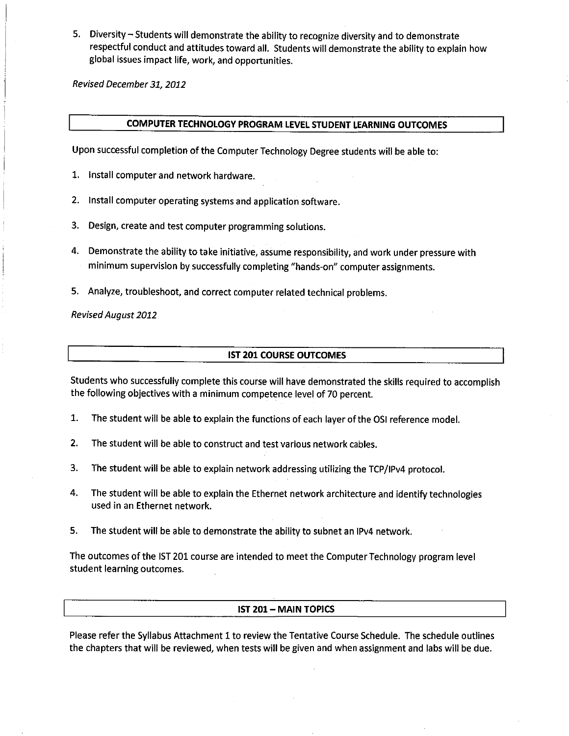5. Diversity - Students will demonstrate the ability to recognize diversity and to demonstrate respectful conduct and attitudes toward all. Students will demonstrate the ability to explain how global issues impact life, work, and opportunities.

Revised December 31, 2012

## COMPUTER TECHNOLOGY PROGRAM LEVEL STUDENT LEARNING OUTCOMES

Upon successful completion of the Computer Technology Degree students will be able to:

- 1. Install computer and network hardware.
- 2. Install computer operating systems and application software.
- 3. Design, create and test computer programming solutions.
- 4. Demonstrate the ability to take initiative, assume responsibility, and work under pressure with minimum supervision by successfully completing "hands-on" computer assignments.
- 5. Analyze, troubleshoot, and correct computer related technical problems.

**Revised August 2012** 

#### **IST 201 COURSE OUTCOMES**

Students who successfully complete this course will have demonstrated the skills required to accomplish the following objectives with a minimum competence level of 70 percent.

- 1. The student will be able to explain the functions of each layer of the OSI reference model.
- $2.$ The student will be able to construct and test various network cables.
- The student will be able to explain network addressing utilizing the TCP/IPv4 protocol. 3.
- 4. The student will be able to explain the Ethernet network architecture and identify technologies used in an Ethernet network.
- 5. The student will be able to demonstrate the ability to subnet an IPv4 network.

The outcomes of the IST 201 course are intended to meet the Computer Technology program level student learning outcomes.

#### **IST 201 - MAIN TOPICS**

Please refer the Syllabus Attachment 1 to review the Tentative Course Schedule. The schedule outlines the chapters that will be reviewed, when tests will be given and when assignment and labs will be due.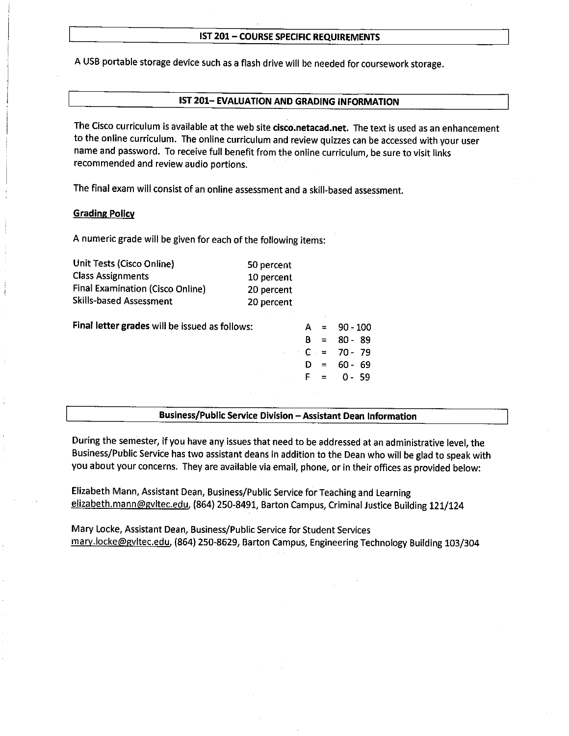#### IST 201 - COURSE SPECIFIC REQUIREMENTS

A USB portable storage device such as a flash drive will be needed for coursework storage.

### IST 201-EVALUATION AND GRADING INFORMATION

The Cisco curriculum is available at the web site cisco.netacad.net. The text is used as an enhancement to the online curriculum. The online curriculum and review quizzes can be accessed with your user name and password. To receive full benefit from the online curriculum, be sure to visit links recommended and review audio portions.

The final exam will consist of an online assessment and a skill-based assessment.

#### **Grading Policy**

A numeric grade will be given for each of the following items:

| Unit Tests (Cisco Online)<br><b>Class Assignments</b> | 50 percent<br>10 percent |                     |     |            |
|-------------------------------------------------------|--------------------------|---------------------|-----|------------|
| Final Examination (Cisco Online)                      | 20 percent               |                     |     |            |
| <b>Skills-based Assessment</b>                        | 20 percent               |                     |     |            |
| Final letter grades will be issued as follows:        |                          |                     |     | $90 - 100$ |
|                                                       |                          | R                   | $=$ | $80 - 89$  |
|                                                       |                          | $\cdot$ C $\cdot$ = |     | $70 - 79$  |
|                                                       |                          |                     | $=$ | 60 -<br>69 |
|                                                       |                          |                     | $=$ | $0 - 59$   |
|                                                       |                          |                     |     |            |
|                                                       |                          |                     |     |            |

## Business/Public Service Division - Assistant Dean Information

During the semester, if you have any issues that need to be addressed at an administrative level, the Business/Public Service has two assistant deans in addition to the Dean who will be glad to speak with you about your concerns. They are available via email, phone, or in their offices as provided below:

Elizabeth Mann, Assistant Dean, Business/Public Service for Teaching and Learning elizabeth.mann@gvltec.edu, (864) 250-8491, Barton Campus, Criminal Justice Building 121/124

Mary Locke, Assistant Dean, Business/Public Service for Student Services mary.locke@gvltec.edu, (864) 250-8629, Barton Campus, Engineering Technology Building 103/304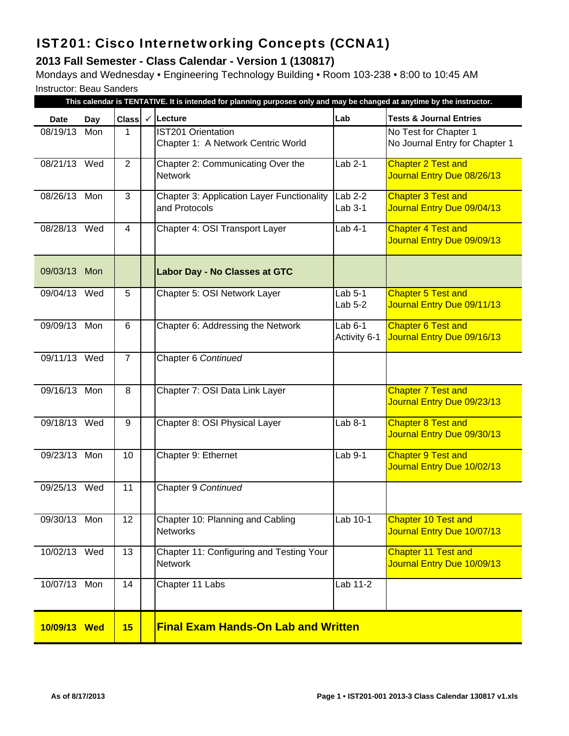# IST201: Cisco Internetworking Concepts (CCNA1)

## **2013 Fall Semester - Class Calendar - Version 1 (130817)**

Mondays and Wednesday • Engineering Technology Building • Room 103-238 • 8:00 to 10:45 AM Instructor: Beau Sanders

|              |     |                         |              | This calendar is TENTATIVE. It is intended for planning purposes only and may be changed at anytime by the instructor. |                           |                                                          |
|--------------|-----|-------------------------|--------------|------------------------------------------------------------------------------------------------------------------------|---------------------------|----------------------------------------------------------|
| <b>Date</b>  | Day | <b>Class</b>            | $\checkmark$ | Lecture                                                                                                                | Lab                       | <b>Tests &amp; Journal Entries</b>                       |
| 08/19/13     | Mon | 1                       |              | <b>IST201 Orientation</b><br>Chapter 1: A Network Centric World                                                        |                           | No Test for Chapter 1<br>No Journal Entry for Chapter 1  |
| 08/21/13 Wed |     | $\overline{2}$          |              | Chapter 2: Communicating Over the<br><b>Network</b>                                                                    | $Lab 2-1$                 | <b>Chapter 2 Test and</b><br>Journal Entry Due 08/26/13  |
| 08/26/13 Mon |     | 3                       |              | <b>Chapter 3: Application Layer Functionality</b><br>and Protocols                                                     | $Lab 2-2$<br>Lab $3-1$    | <b>Chapter 3 Test and</b><br>Journal Entry Due 09/04/13  |
| 08/28/13 Wed |     | $\overline{\mathbf{4}}$ |              | Chapter 4: OSI Transport Layer                                                                                         | Lab 4-1                   | <b>Chapter 4 Test and</b><br>Journal Entry Due 09/09/13  |
| 09/03/13 Mon |     |                         |              | <b>Labor Day - No Classes at GTC</b>                                                                                   |                           |                                                          |
| 09/04/13 Wed |     | 5                       |              | Chapter 5: OSI Network Layer                                                                                           | Lab $5-1$<br>Lab $5-2$    | <b>Chapter 5 Test and</b><br>Journal Entry Due 09/11/13  |
| 09/09/13 Mon |     | 6                       |              | Chapter 6: Addressing the Network                                                                                      | Lab $6-1$<br>Activity 6-1 | <b>Chapter 6 Test and</b><br>Journal Entry Due 09/16/13  |
| 09/11/13 Wed |     | $\overline{7}$          |              | Chapter 6 Continued                                                                                                    |                           |                                                          |
| 09/16/13 Mon |     | 8                       |              | Chapter 7: OSI Data Link Layer                                                                                         |                           | <b>Chapter 7 Test and</b><br>Journal Entry Due 09/23/13  |
| 09/18/13 Wed |     | $9\,$                   |              | Chapter 8: OSI Physical Layer                                                                                          | Lab 8-1                   | <b>Chapter 8 Test and</b><br>Journal Entry Due 09/30/13  |
| 09/23/13 Mon |     | 10                      |              | Chapter 9: Ethernet                                                                                                    | Lab 9-1                   | <b>Chapter 9 Test and</b><br>Journal Entry Due 10/02/13  |
| 09/25/13 Wed |     | 11                      |              | Chapter 9 Continued                                                                                                    |                           |                                                          |
| 09/30/13 Mon |     | 12                      |              | Chapter 10: Planning and Cabling<br><b>Networks</b>                                                                    | Lab 10-1                  | <b>Chapter 10 Test and</b><br>Journal Entry Due 10/07/13 |
| 10/02/13 Wed |     | 13                      |              | Chapter 11: Configuring and Testing Your<br><b>Network</b>                                                             |                           | Chapter 11 Test and<br>Journal Entry Due 10/09/13        |
| 10/07/13 Mon |     | 14                      |              | Chapter 11 Labs                                                                                                        | Lab 11-2                  |                                                          |
| 10/09/13 Wed |     | 15                      |              | <b>Final Exam Hands-On Lab and Written</b>                                                                             |                           |                                                          |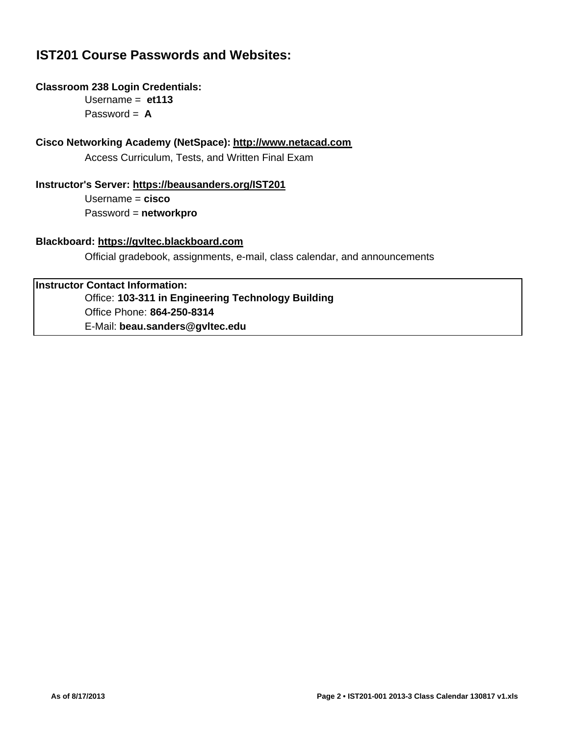## **IST201 Course Passwords and Websites:**

## **Classroom 238 Login Credentials:**

Username = **et113** Password = **A**

## **Cisco Networking Academy (NetSpace): http://www.netacad.com**

Access Curriculum, Tests, and Written Final Exam

## **Instructor's Server: https://beausanders.org/IST201**

Username = **cisco** Password = **networkpro**

## **Blackboard: https://gvltec.blackboard.com**

Official gradebook, assignments, e-mail, class calendar, and announcements

## **Instructor Contact Information:**

Office: **103-311 in Engineering Technology Building** Office Phone: **864-250-8314** E-Mail: **beau.sanders@gvltec.edu**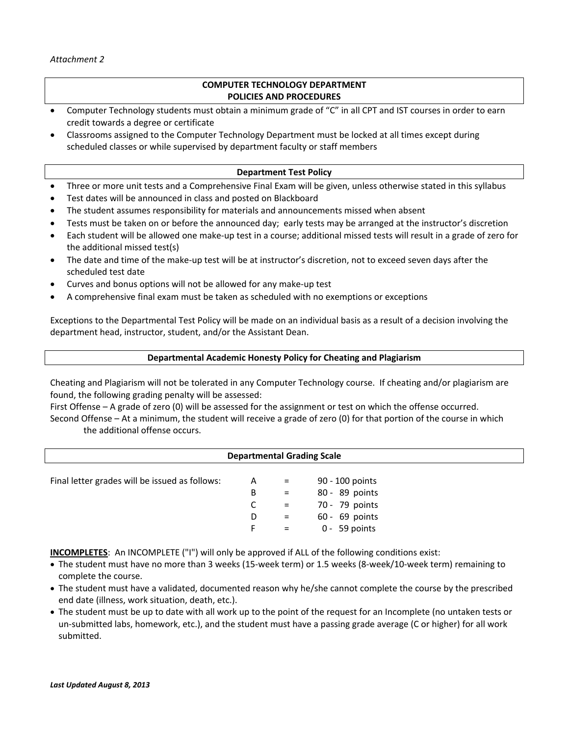### **COMPUTER TECHNOLOGY DEPARTMENT POLICIES AND PROCEDURES**

- Computer Technology students must obtain a minimum grade of "C" in all CPT and IST courses in order to earn credit towards a degree or certificate
- Classrooms assigned to the Computer Technology Department must be locked at all times except during scheduled classes or while supervised by department faculty or staff members

#### **Department Test Policy**

- Three or more unit tests and a Comprehensive Final Exam will be given, unless otherwise stated in this syllabus
- Test dates will be announced in class and posted on Blackboard
- The student assumes responsibility for materials and announcements missed when absent
- Tests must be taken on or before the announced day; early tests may be arranged at the instructor's discretion
- Each student will be allowed one make‐up test in a course; additional missed tests will result in a grade of zero for the additional missed test(s)
- The date and time of the make-up test will be at instructor's discretion, not to exceed seven days after the scheduled test date
- Curves and bonus options will not be allowed for any make‐up test
- A comprehensive final exam must be taken as scheduled with no exemptions or exceptions

Exceptions to the Departmental Test Policy will be made on an individual basis as a result of a decision involving the department head, instructor, student, and/or the Assistant Dean.

#### **Departmental Academic Honesty Policy for Cheating and Plagiarism**

Cheating and Plagiarism will not be tolerated in any Computer Technology course. If cheating and/or plagiarism are found, the following grading penalty will be assessed:

First Offense – A grade of zero (0) will be assessed for the assignment or test on which the offense occurred. Second Offense – At a minimum, the student will receive a grade of zero (0) for that portion of the course in which the additional offense occurs.

|                                                                                                                                                                                                                                             | <b>Departmental Grading Scale</b> |  |  |  |  |  |  |  |  |
|---------------------------------------------------------------------------------------------------------------------------------------------------------------------------------------------------------------------------------------------|-----------------------------------|--|--|--|--|--|--|--|--|
| Final letter grades will be issued as follows:<br>90 - 100 points<br>A<br>$\alpha_{\rm{max}}=0.01$<br>80 - 89 points<br>B<br>$=$ $-$<br>70 - 79 points<br>C.<br>$=$ $-$<br>$60 - 69$ points<br>D<br>$=$ $-$<br>$0 - 59$ points<br>F.<br>$=$ |                                   |  |  |  |  |  |  |  |  |

**INCOMPLETES**: An INCOMPLETE ("I") will only be approved if ALL of the following conditions exist:

- The student must have no more than 3 weeks (15‐week term) or 1.5 weeks (8‐week/10‐week term) remaining to complete the course.
- The student must have a validated, documented reason why he/she cannot complete the course by the prescribed end date (illness, work situation, death, etc.).
- The student must be up to date with all work up to the point of the request for an Incomplete (no untaken tests or un-submitted labs, homework, etc.), and the student must have a passing grade average (C or higher) for all work submitted.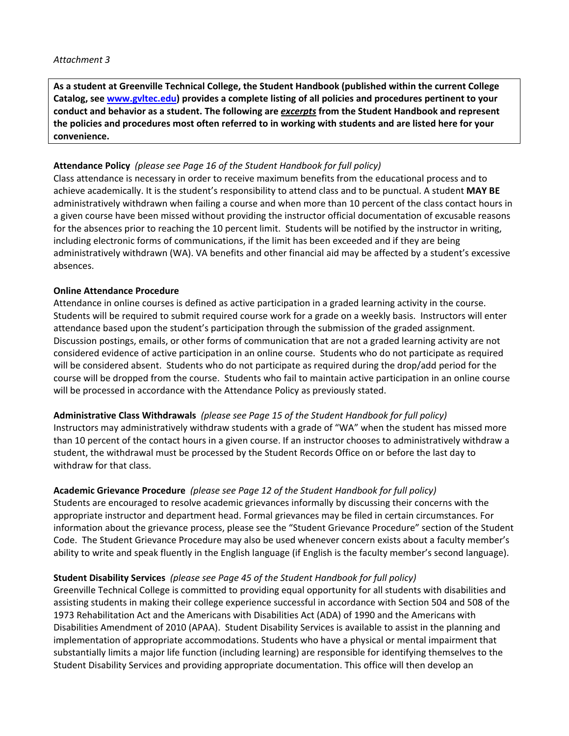**As a student at Greenville Technical College, the Student Handbook (published within the current College Catalog, see www.gvltec.edu) provides a complete listing of all policies and procedures pertinent to your conduct and behavior as a student. The following are** *excerpts* **from the Student Handbook and represent** the policies and procedures most often referred to in working with students and are listed here for your **convenience.**

## **Attendance Policy** *(please see Page 16 of the Student Handbook for full policy)*

Class attendance is necessary in order to receive maximum benefits from the educational process and to achieve academically. It is the student's responsibility to attend class and to be punctual. A student **MAY BE** administratively withdrawn when failing a course and when more than 10 percent of the class contact hours in a given course have been missed without providing the instructor official documentation of excusable reasons for the absences prior to reaching the 10 percent limit. Students will be notified by the instructor in writing, including electronic forms of communications, if the limit has been exceeded and if they are being administratively withdrawn (WA). VA benefits and other financial aid may be affected by a student's excessive absences.

## **Online Attendance Procedure**

Attendance in online courses is defined as active participation in a graded learning activity in the course. Students will be required to submit required course work for a grade on a weekly basis. Instructors will enter attendance based upon the student's participation through the submission of the graded assignment. Discussion postings, emails, or other forms of communication that are not a graded learning activity are not considered evidence of active participation in an online course. Students who do not participate as required will be considered absent. Students who do not participate as required during the drop/add period for the course will be dropped from the course. Students who fail to maintain active participation in an online course will be processed in accordance with the Attendance Policy as previously stated.

**Administrative Class Withdrawals** *(please see Page 15 of the Student Handbook for full policy)* Instructors may administratively withdraw students with a grade of "WA" when the student has missed more than 10 percent of the contact hours in a given course. If an instructor chooses to administratively withdraw a student, the withdrawal must be processed by the Student Records Office on or before the last day to withdraw for that class.

## **Academic Grievance Procedure** *(please see Page 12 of the Student Handbook for full policy)*

Students are encouraged to resolve academic grievances informally by discussing their concerns with the appropriate instructor and department head. Formal grievances may be filed in certain circumstances. For information about the grievance process, please see the "Student Grievance Procedure" section of the Student Code. The Student Grievance Procedure may also be used whenever concern exists about a faculty member's ability to write and speak fluently in the English language (if English is the faculty member's second language).

## **Student Disability Services** *(please see Page 45 of the Student Handbook for full policy)*

Greenville Technical College is committed to providing equal opportunity for all students with disabilities and assisting students in making their college experience successful in accordance with Section 504 and 508 of the 1973 Rehabilitation Act and the Americans with Disabilities Act (ADA) of 1990 and the Americans with Disabilities Amendment of 2010 (APAA). Student Disability Services is available to assist in the planning and implementation of appropriate accommodations. Students who have a physical or mental impairment that substantially limits a major life function (including learning) are responsible for identifying themselves to the Student Disability Services and providing appropriate documentation. This office will then develop an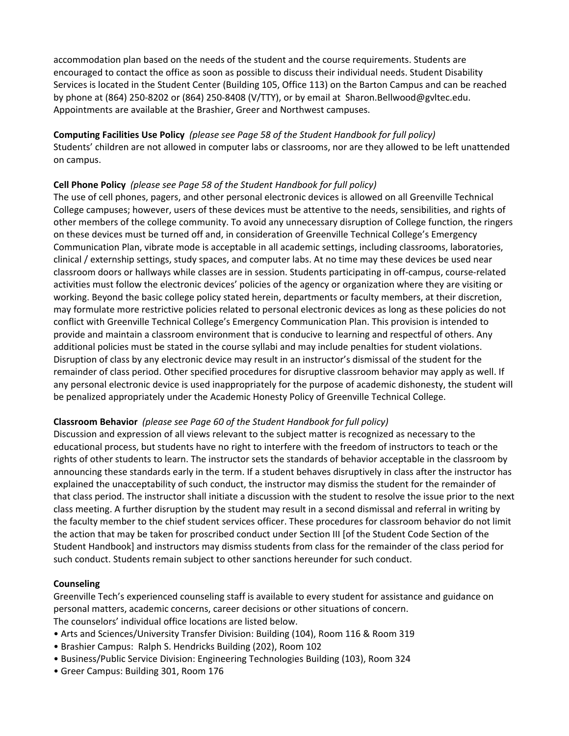accommodation plan based on the needs of the student and the course requirements. Students are encouraged to contact the office as soon as possible to discuss their individual needs. Student Disability Services is located in the Student Center (Building 105, Office 113) on the Barton Campus and can be reached by phone at (864) 250‐8202 or (864) 250‐8408 (V/TTY), or by email at Sharon.Bellwood@gvltec.edu. Appointments are available at the Brashier, Greer and Northwest campuses.

**Computing Facilities Use Policy** *(please see Page 58 of the Student Handbook for full policy)* Students' children are not allowed in computer labs or classrooms, nor are they allowed to be left unattended on campus.

## **Cell Phone Policy** *(please see Page 58 of the Student Handbook for full policy)*

The use of cell phones, pagers, and other personal electronic devices is allowed on all Greenville Technical College campuses; however, users of these devices must be attentive to the needs, sensibilities, and rights of other members of the college community. To avoid any unnecessary disruption of College function, the ringers on these devices must be turned off and, in consideration of Greenville Technical College's Emergency Communication Plan, vibrate mode is acceptable in all academic settings, including classrooms, laboratories, clinical / externship settings, study spaces, and computer labs. At no time may these devices be used near classroom doors or hallways while classes are in session. Students participating in off‐campus, course‐related activities must follow the electronic devices' policies of the agency or organization where they are visiting or working. Beyond the basic college policy stated herein, departments or faculty members, at their discretion, may formulate more restrictive policies related to personal electronic devices as long as these policies do not conflict with Greenville Technical College's Emergency Communication Plan. This provision is intended to provide and maintain a classroom environment that is conducive to learning and respectful of others. Any additional policies must be stated in the course syllabi and may include penalties for student violations. Disruption of class by any electronic device may result in an instructor's dismissal of the student for the remainder of class period. Other specified procedures for disruptive classroom behavior may apply as well. If any personal electronic device is used inappropriately for the purpose of academic dishonesty, the student will be penalized appropriately under the Academic Honesty Policy of Greenville Technical College.

## **Classroom Behavior** *(please see Page 60 of the Student Handbook for full policy)*

Discussion and expression of all views relevant to the subject matter is recognized as necessary to the educational process, but students have no right to interfere with the freedom of instructors to teach or the rights of other students to learn. The instructor sets the standards of behavior acceptable in the classroom by announcing these standards early in the term. If a student behaves disruptively in class after the instructor has explained the unacceptability of such conduct, the instructor may dismiss the student for the remainder of that class period. The instructor shall initiate a discussion with the student to resolve the issue prior to the next class meeting. A further disruption by the student may result in a second dismissal and referral in writing by the faculty member to the chief student services officer. These procedures for classroom behavior do not limit the action that may be taken for proscribed conduct under Section III [of the Student Code Section of the Student Handbook] and instructors may dismiss students from class for the remainder of the class period for such conduct. Students remain subject to other sanctions hereunder for such conduct.

## **Counseling**

Greenville Tech's experienced counseling staff is available to every student for assistance and guidance on personal matters, academic concerns, career decisions or other situations of concern. The counselors' individual office locations are listed below.

- Arts and Sciences/University Transfer Division: Building (104), Room 116 & Room 319
- Brashier Campus: Ralph S. Hendricks Building (202), Room 102
- Business/Public Service Division: Engineering Technologies Building (103), Room 324
- Greer Campus: Building 301, Room 176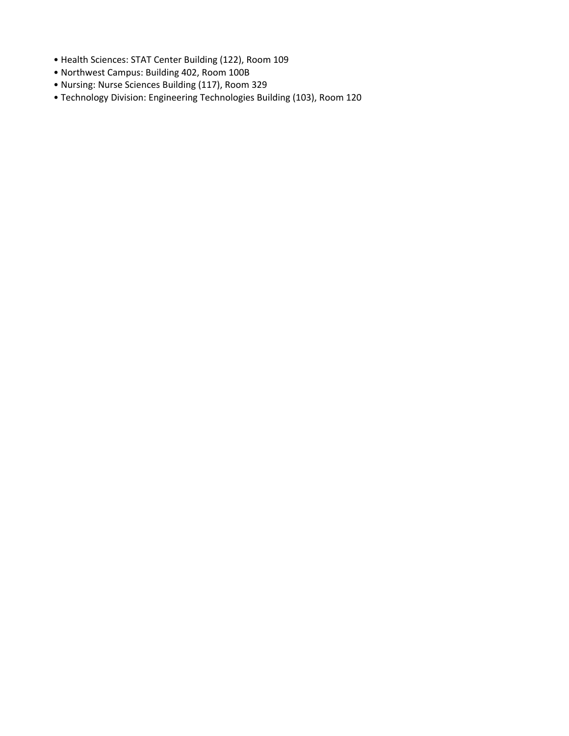- Health Sciences: STAT Center Building (122), Room 109
- Northwest Campus: Building 402, Room 100B
- Nursing: Nurse Sciences Building (117), Room 329
- Technology Division: Engineering Technologies Building (103), Room 120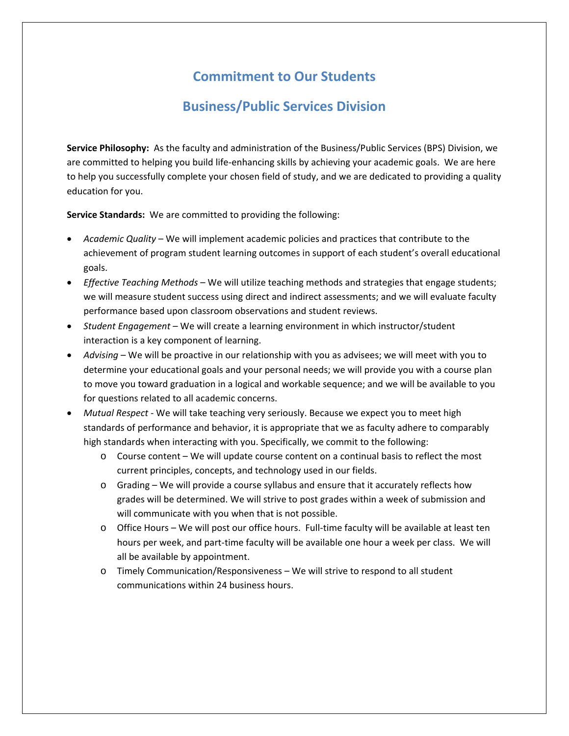# **Commitment to Our Students**

## **Business/Public Services Division**

**Service Philosophy:** As the faculty and administration of the Business/Public Services (BPS) Division, we are committed to helping you build life-enhancing skills by achieving your academic goals. We are here to help you successfully complete your chosen field of study, and we are dedicated to providing a quality education for you.

**Service Standards:** We are committed to providing the following:

- *Academic Quality* We will implement academic policies and practices that contribute to the achievement of program student learning outcomes in support of each student's overall educational goals.
- *Effective Teaching Methods* We will utilize teaching methods and strategies that engage students; we will measure student success using direct and indirect assessments; and we will evaluate faculty performance based upon classroom observations and student reviews.
- *Student Engagement* We will create a learning environment in which instructor/student interaction is a key component of learning.
- *Advising* We will be proactive in our relationship with you as advisees; we will meet with you to determine your educational goals and your personal needs; we will provide you with a course plan to move you toward graduation in a logical and workable sequence; and we will be available to you for questions related to all academic concerns.
- *Mutual Respect* ‐ We will take teaching very seriously. Because we expect you to meet high standards of performance and behavior, it is appropriate that we as faculty adhere to comparably high standards when interacting with you. Specifically, we commit to the following:
	- o Course content We will update course content on a continual basis to reflect the most current principles, concepts, and technology used in our fields.
	- o Grading We will provide a course syllabus and ensure that it accurately reflects how grades will be determined. We will strive to post grades within a week of submission and will communicate with you when that is not possible.
	- o Office Hours We will post our office hours. Full‐time faculty will be available at least ten hours per week, and part-time faculty will be available one hour a week per class. We will all be available by appointment.
	- o Timely Communication/Responsiveness We will strive to respond to all student communications within 24 business hours.